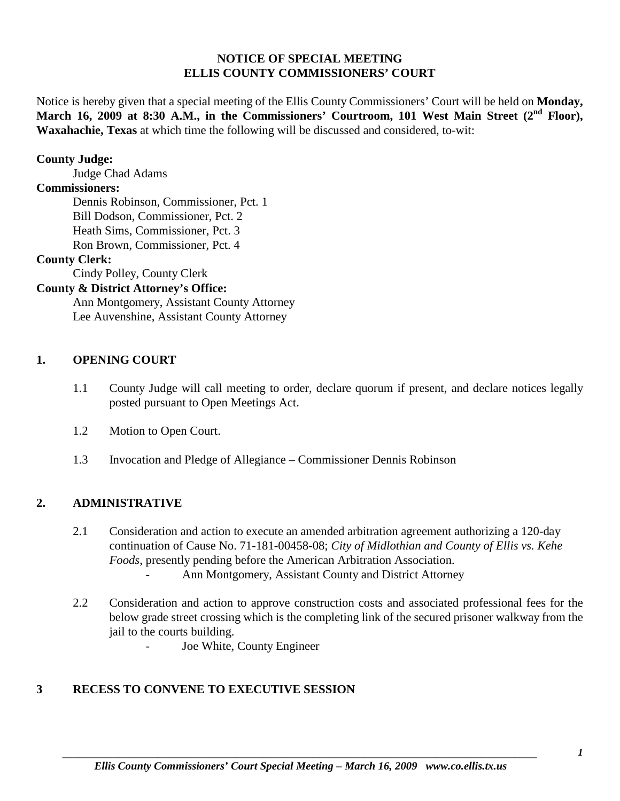#### **NOTICE OF SPECIAL MEETING ELLIS COUNTY COMMISSIONERS' COURT**

Notice is hereby given that a special meeting of the Ellis County Commissioners' Court will be held on **Monday,**  March 16, 2009 at 8:30 A.M., in the Commissioners' Courtroom, 101 West Main Street (2<sup>nd</sup> Floor), **Waxahachie, Texas** at which time the following will be discussed and considered, to-wit:

#### **County Judge:**

Judge Chad Adams

#### **Commissioners:**

Dennis Robinson, Commissioner, Pct. 1 Bill Dodson, Commissioner, Pct. 2 Heath Sims, Commissioner, Pct. 3 Ron Brown, Commissioner, Pct. 4

#### **County Clerk:**

Cindy Polley, County Clerk

## **County & District Attorney's Office:**

Ann Montgomery, Assistant County Attorney Lee Auvenshine, Assistant County Attorney

#### **1. OPENING COURT**

- 1.1 County Judge will call meeting to order, declare quorum if present, and declare notices legally posted pursuant to Open Meetings Act.
- 1.2 Motion to Open Court.
- 1.3 Invocation and Pledge of Allegiance Commissioner Dennis Robinson

## **2. ADMINISTRATIVE**

- 2.1 Consideration and action to execute an amended arbitration agreement authorizing a 120-day continuation of Cause No. 71-181-00458-08; *City of Midlothian and County of Ellis vs. Kehe Foods*, presently pending before the American Arbitration Association. Ann Montgomery, Assistant County and District Attorney
- 2.2 Consideration and action to approve construction costs and associated professional fees for the below grade street crossing which is the completing link of the secured prisoner walkway from the jail to the courts building.
	- Joe White, County Engineer

# **3 RECESS TO CONVENE TO EXECUTIVE SESSION**